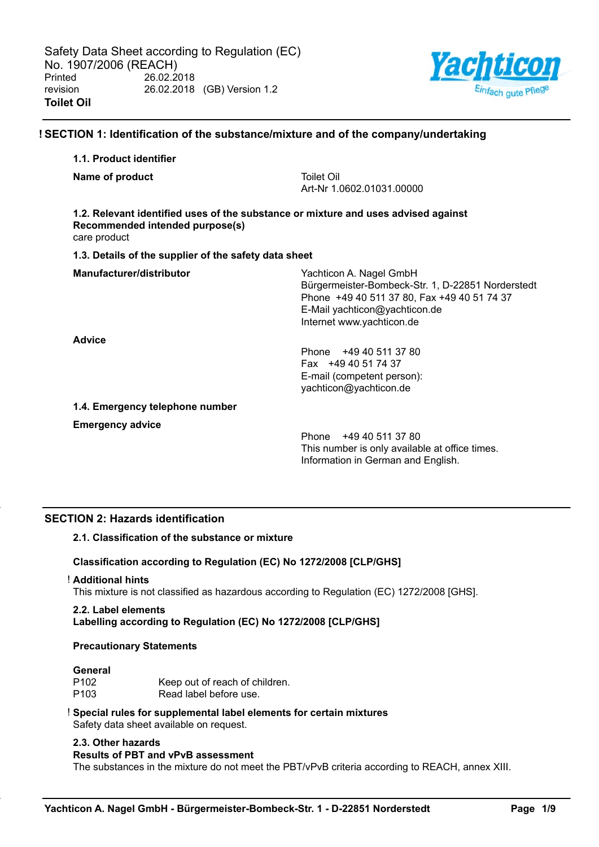

## **! SECTION 1: Identification of the substance/mixture and of the company/undertaking**

## **1.1. Product identifier**

**Name of product** Toilet Oil

Art-Nr 1.0602.01031.00000

# **1.2. Relevant identified uses of the substance or mixture and uses advised against Recommended intended purpose(s)**

care product

## **1.3. Details of the supplier of the safety data sheet**

| Manufacturer/distributor        | Yachticon A. Nagel GmbH<br>Bürgermeister-Bombeck-Str. 1, D-22851 Norderstedt<br>Phone +49 40 511 37 80, Fax +49 40 51 74 37 |  |  |
|---------------------------------|-----------------------------------------------------------------------------------------------------------------------------|--|--|
|                                 | E-Mail yachticon@yachticon.de<br>Internet www.yachticon.de                                                                  |  |  |
| <b>Advice</b>                   |                                                                                                                             |  |  |
|                                 | Phone +49 40 511 37 80                                                                                                      |  |  |
|                                 | Fax +49 40 51 74 37                                                                                                         |  |  |
|                                 | E-mail (competent person):                                                                                                  |  |  |
|                                 | yachticon@yachticon.de                                                                                                      |  |  |
| 1.4. Emergency telephone number |                                                                                                                             |  |  |

**Emergency advice**

Phone +49 40 511 37 80 This number is only available at office times. Information in German and English.

## **SECTION 2: Hazards identification**

## **2.1. Classification of the substance or mixture**

## **Classification according to Regulation (EC) No 1272/2008 [CLP/GHS]**

#### ! **Additional hints**

This mixture is not classified as hazardous according to Regulation (EC) 1272/2008 [GHS].

## **2.2. Label elements**

**Labelling according to Regulation (EC) No 1272/2008 [CLP/GHS]**

## **Precautionary Statements**

#### **General**

| P102 | Keep out of reach of children. |
|------|--------------------------------|
| P103 | Read label before use.         |

# ! **Special rules for supplemental label elements for certain mixtures**

Safety data sheet available on request.

## **2.3. Other hazards**

#### **Results of PBT and vPvB assessment**

The substances in the mixture do not meet the PBT/vPvB criteria according to REACH, annex XIII.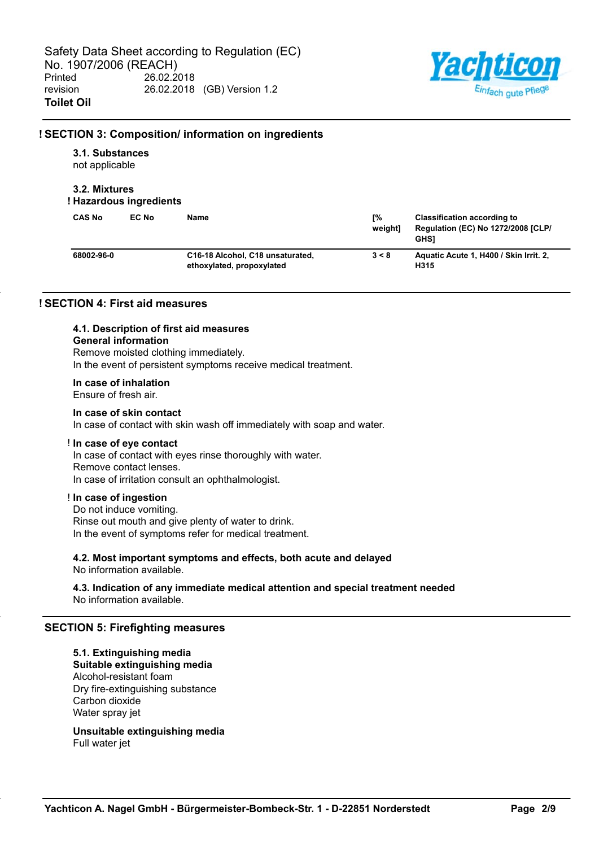

## **! SECTION 3: Composition/ information on ingredients**

## **3.1. Substances**

not applicable

## **3.2. Mixtures**

## **! Hazardous ingredients**

| <b>CAS No</b> | EC No | Name                                                          | Г%<br>weiahtl | <b>Classification according to</b><br>Regulation (EC) No 1272/2008 [CLP/<br><b>GHS1</b> |
|---------------|-------|---------------------------------------------------------------|---------------|-----------------------------------------------------------------------------------------|
| 68002-96-0    |       | C16-18 Alcohol, C18 unsaturated,<br>ethoxylated, propoxylated | 3 < 8         | Aquatic Acute 1, H400 / Skin Irrit. 2,<br>H315                                          |

## **! SECTION 4: First aid measures**

# **4.1. Description of first aid measures**

## **General information**

Remove moisted clothing immediately. In the event of persistent symptoms receive medical treatment.

## **In case of inhalation**

Ensure of fresh air.

## **In case of skin contact**

In case of contact with skin wash off immediately with soap and water.

#### ! **In case of eye contact**

In case of contact with eyes rinse thoroughly with water. Remove contact lenses. In case of irritation consult an ophthalmologist.

## ! **In case of ingestion**

Do not induce vomiting. Rinse out mouth and give plenty of water to drink. In the event of symptoms refer for medical treatment.

**4.2. Most important symptoms and effects, both acute and delayed** No information available.

## **4.3. Indication of any immediate medical attention and special treatment needed** No information available.

## **SECTION 5: Firefighting measures**

## **5.1. Extinguishing media Suitable extinguishing media** Alcohol-resistant foam Dry fire-extinguishing substance Carbon dioxide Water spray jet

**Unsuitable extinguishing media** Full water jet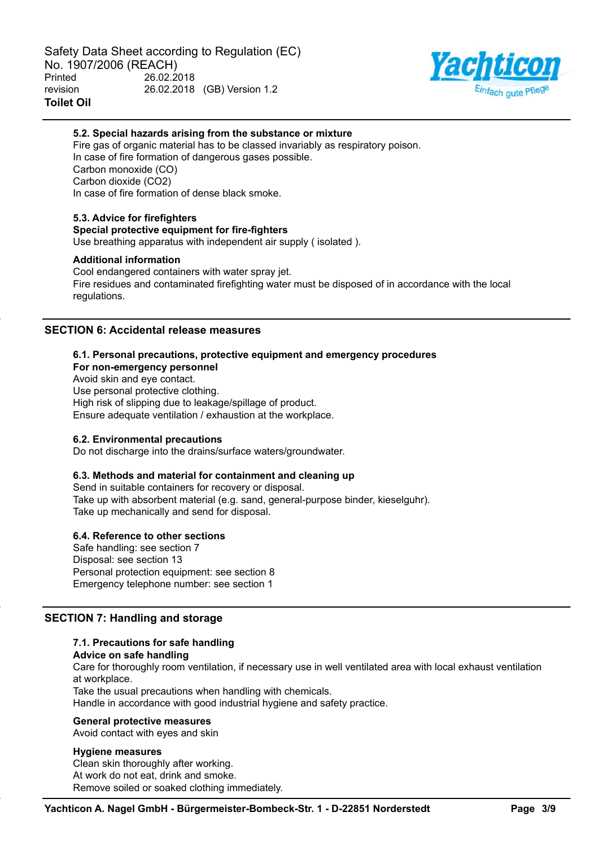

## **5.2. Special hazards arising from the substance or mixture**

Fire gas of organic material has to be classed invariably as respiratory poison. In case of fire formation of dangerous gases possible. Carbon monoxide (CO) Carbon dioxide (CO2) In case of fire formation of dense black smoke.

## **5.3. Advice for firefighters**

## **Special protective equipment for fire-fighters**

Use breathing apparatus with independent air supply ( isolated ).

#### **Additional information**

Cool endangered containers with water spray jet. Fire residues and contaminated firefighting water must be disposed of in accordance with the local regulations.

## **SECTION 6: Accidental release measures**

#### **6.1. Personal precautions, protective equipment and emergency procedures**

**For non-emergency personnel**

Avoid skin and eye contact.

Use personal protective clothing.

High risk of slipping due to leakage/spillage of product.

Ensure adequate ventilation / exhaustion at the workplace.

#### **6.2. Environmental precautions**

Do not discharge into the drains/surface waters/groundwater.

#### **6.3. Methods and material for containment and cleaning up**

Send in suitable containers for recovery or disposal. Take up with absorbent material (e.g. sand, general-purpose binder, kieselguhr). Take up mechanically and send for disposal.

#### **6.4. Reference to other sections**

Safe handling: see section 7 Disposal: see section 13 Personal protection equipment: see section 8 Emergency telephone number: see section 1

## **SECTION 7: Handling and storage**

## **7.1. Precautions for safe handling**

#### **Advice on safe handling**

Care for thoroughly room ventilation, if necessary use in well ventilated area with local exhaust ventilation at workplace.

Take the usual precautions when handling with chemicals.

Handle in accordance with good industrial hygiene and safety practice.

#### **General protective measures**

Avoid contact with eyes and skin

#### **Hygiene measures**

Clean skin thoroughly after working. At work do not eat, drink and smoke. Remove soiled or soaked clothing immediately.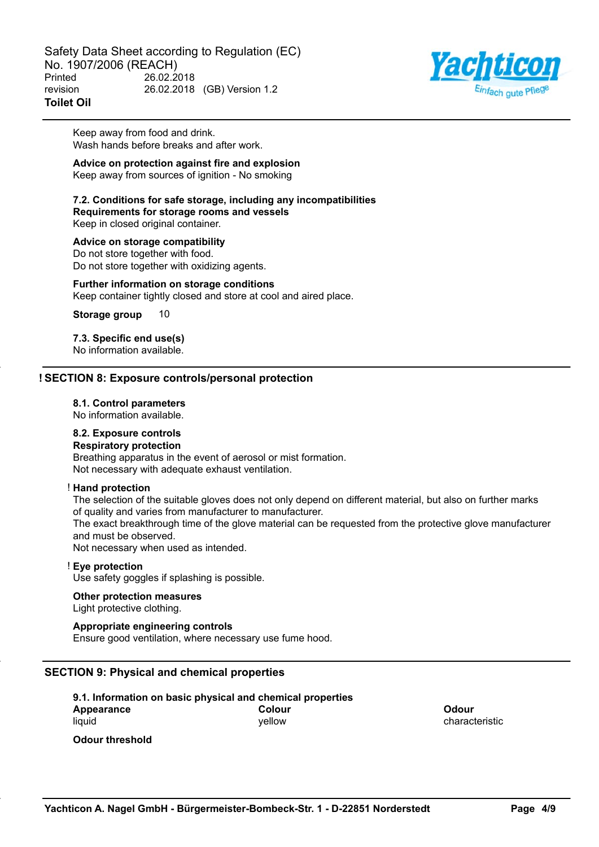Safety Data Sheet according to Regulation (EC) No. 1907/2006 (REACH) Printed 26.02.2018 revision 26.02.2018 (GB) Version 1.2 **Toilet Oil**



Keep away from food and drink. Wash hands before breaks and after work.

## **Advice on protection against fire and explosion**

Keep away from sources of ignition - No smoking

## **7.2. Conditions for safe storage, including any incompatibilities Requirements for storage rooms and vessels**

Keep in closed original container.

#### **Advice on storage compatibility**

Do not store together with food. Do not store together with oxidizing agents.

## **Further information on storage conditions**

Keep container tightly closed and store at cool and aired place.

**Storage group** 10

# **7.3. Specific end use(s)**

No information available.

## **! SECTION 8: Exposure controls/personal protection**

## **8.1. Control parameters**

No information available.

#### **8.2. Exposure controls**

## **Respiratory protection**

Breathing apparatus in the event of aerosol or mist formation. Not necessary with adequate exhaust ventilation.

#### ! **Hand protection**

The selection of the suitable gloves does not only depend on different material, but also on further marks of quality and varies from manufacturer to manufacturer.

The exact breakthrough time of the glove material can be requested from the protective glove manufacturer and must be observed.

Not necessary when used as intended.

## ! **Eye protection**

Use safety goggles if splashing is possible.

#### **Other protection measures**

Light protective clothing.

## **Appropriate engineering controls**

Ensure good ventilation, where necessary use fume hood.

## **SECTION 9: Physical and chemical properties**

**9.1. Information on basic physical and chemical properties Appearance** liquid **Colour** yellow

**Odour** characteristic

**Odour threshold**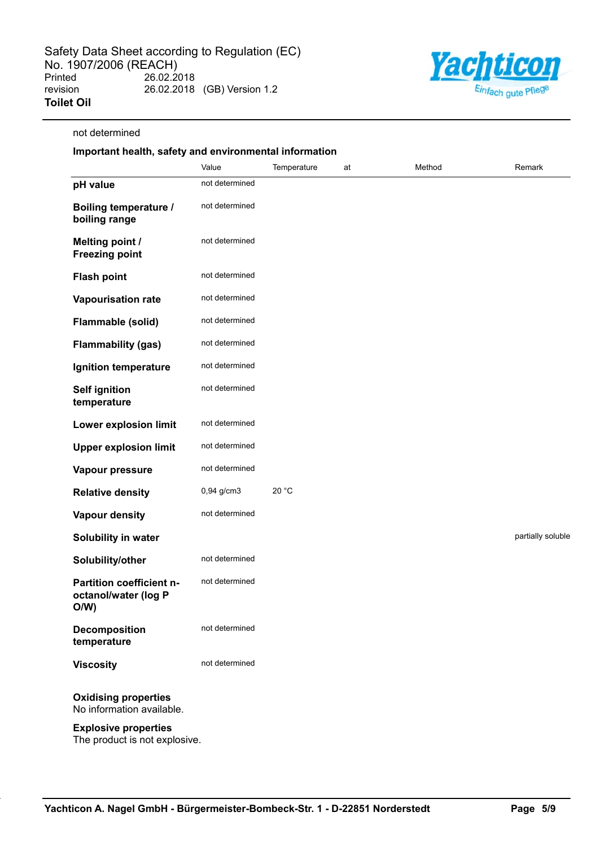

### not determined

## **Important health, safety and environmental information**

|                                                          | Value          | Temperature | at | Method | Remark            |
|----------------------------------------------------------|----------------|-------------|----|--------|-------------------|
| pH value                                                 | not determined |             |    |        |                   |
| <b>Boiling temperature /</b><br>boiling range            | not determined |             |    |        |                   |
| <b>Melting point /</b><br><b>Freezing point</b>          | not determined |             |    |        |                   |
| <b>Flash point</b>                                       | not determined |             |    |        |                   |
| Vapourisation rate                                       | not determined |             |    |        |                   |
| Flammable (solid)                                        | not determined |             |    |        |                   |
| <b>Flammability (gas)</b>                                | not determined |             |    |        |                   |
| Ignition temperature                                     | not determined |             |    |        |                   |
| <b>Self ignition</b><br>temperature                      | not determined |             |    |        |                   |
| Lower explosion limit                                    | not determined |             |    |        |                   |
| <b>Upper explosion limit</b>                             | not determined |             |    |        |                   |
| Vapour pressure                                          | not determined |             |    |        |                   |
| <b>Relative density</b>                                  | 0,94 g/cm3     | 20 °C       |    |        |                   |
| <b>Vapour density</b>                                    | not determined |             |    |        |                   |
| Solubility in water                                      |                |             |    |        | partially soluble |
| Solubility/other                                         | not determined |             |    |        |                   |
| Partition coefficient n-<br>octanol/water (log P<br>O/W) | not determined |             |    |        |                   |
| <b>Decomposition</b><br>temperature                      | not determined |             |    |        |                   |
| <b>Viscosity</b>                                         | not determined |             |    |        |                   |
| <b>Oxidising properties</b><br>No information available. |                |             |    |        |                   |

#### **Explosive properties**

The product is not explosive.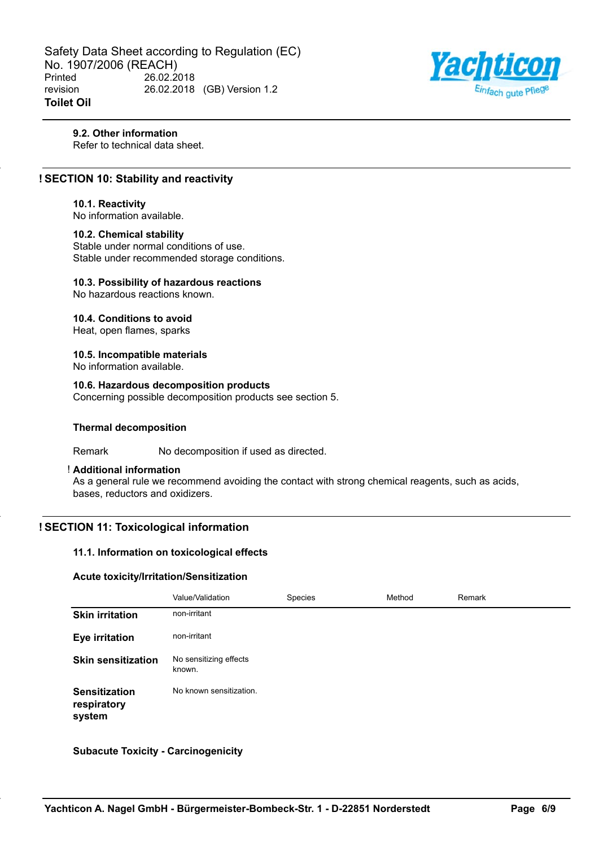Safety Data Sheet according to Regulation (EC) No. 1907/2006 (REACH)<br>Printed 26.02.2 26.02.2018 revision 26.02.2018 (GB) Version 1.2 **Toilet Oil**



## **9.2. Other information**

Refer to technical data sheet.

## **! SECTION 10: Stability and reactivity**

#### **10.1. Reactivity**

No information available.

#### **10.2. Chemical stability**

Stable under normal conditions of use. Stable under recommended storage conditions.

## **10.3. Possibility of hazardous reactions**

No hazardous reactions known.

#### **10.4. Conditions to avoid**

Heat, open flames, sparks

# **10.5. Incompatible materials**

No information available.

## **10.6. Hazardous decomposition products**

Concerning possible decomposition products see section 5.

#### **Thermal decomposition**

Remark No decomposition if used as directed.

## ! **Additional information**

As a general rule we recommend avoiding the contact with strong chemical reagents, such as acids, bases, reductors and oxidizers.

## **! SECTION 11: Toxicological information**

#### **11.1. Information on toxicological effects**

#### **Acute toxicity/Irritation/Sensitization**

|                                               | Value/Validation                 | Species | Method | Remark |
|-----------------------------------------------|----------------------------------|---------|--------|--------|
| <b>Skin irritation</b>                        | non-irritant                     |         |        |        |
| <b>Eye irritation</b>                         | non-irritant                     |         |        |        |
| <b>Skin sensitization</b>                     | No sensitizing effects<br>known. |         |        |        |
| <b>Sensitization</b><br>respiratory<br>system | No known sensitization.          |         |        |        |

**Subacute Toxicity - Carcinogenicity**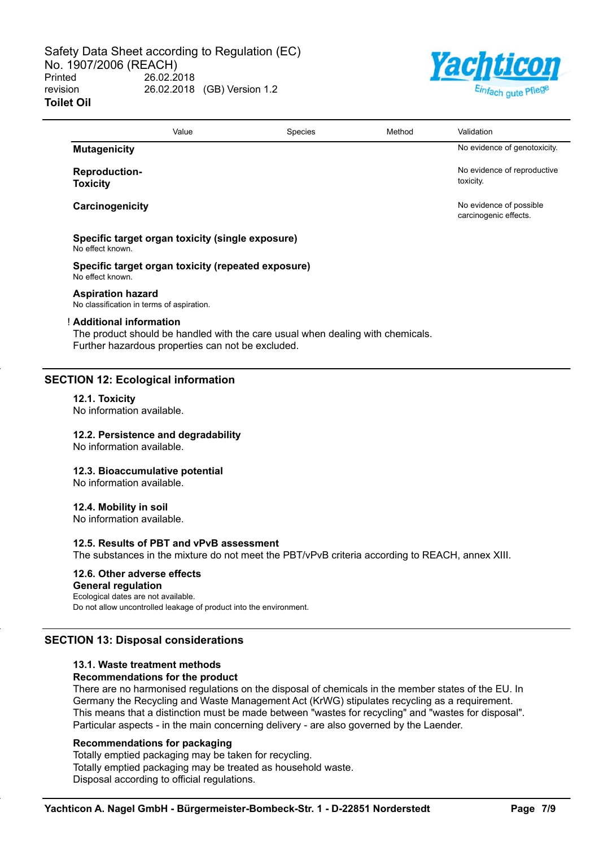

|                                                                               | Value | Species                                                                        | Method | Validation                                       |
|-------------------------------------------------------------------------------|-------|--------------------------------------------------------------------------------|--------|--------------------------------------------------|
| <b>Mutagenicity</b>                                                           |       |                                                                                |        | No evidence of genotoxicity.                     |
| <b>Reproduction-</b><br><b>Toxicity</b>                                       |       |                                                                                |        | No evidence of reproductive<br>toxicity.         |
| Carcinogenicity                                                               |       |                                                                                |        | No evidence of possible<br>carcinogenic effects. |
| Specific target organ toxicity (single exposure)<br>No effect known.          |       |                                                                                |        |                                                  |
| Specific target organ toxicity (repeated exposure)<br>No effect known.        |       |                                                                                |        |                                                  |
| <b>Aspiration hazard</b><br>No classification in terms of aspiration.         |       |                                                                                |        |                                                  |
| ! Additional information<br>Further hazardous properties can not be excluded. |       | The product should be handled with the care usual when dealing with chemicals. |        |                                                  |
| <b>SECTION 12: Ecological information</b>                                     |       |                                                                                |        |                                                  |
| 12.1. Toxicity<br>No information available.                                   |       |                                                                                |        |                                                  |
| 12.2. Persistence and degradability<br>No information available.              |       |                                                                                |        |                                                  |
| 12.3. Bioaccumulative potential<br>No information available.                  |       |                                                                                |        |                                                  |
|                                                                               |       |                                                                                |        |                                                  |

**12.4. Mobility in soil**

No information available.

#### **12.5. Results of PBT and vPvB assessment**

The substances in the mixture do not meet the PBT/vPvB criteria according to REACH, annex XIII.

## **12.6. Other adverse effects**

#### **General regulation**

Ecological dates are not available.

Do not allow uncontrolled leakage of product into the environment.

## **SECTION 13: Disposal considerations**

## **13.1. Waste treatment methods**

## **Recommendations for the product**

There are no harmonised regulations on the disposal of chemicals in the member states of the EU. In Germany the Recycling and Waste Management Act (KrWG) stipulates recycling as a requirement. This means that a distinction must be made between "wastes for recycling" and "wastes for disposal". Particular aspects - in the main concerning delivery - are also governed by the Laender.

## **Recommendations for packaging**

Totally emptied packaging may be taken for recycling. Totally emptied packaging may be treated as household waste. Disposal according to official regulations.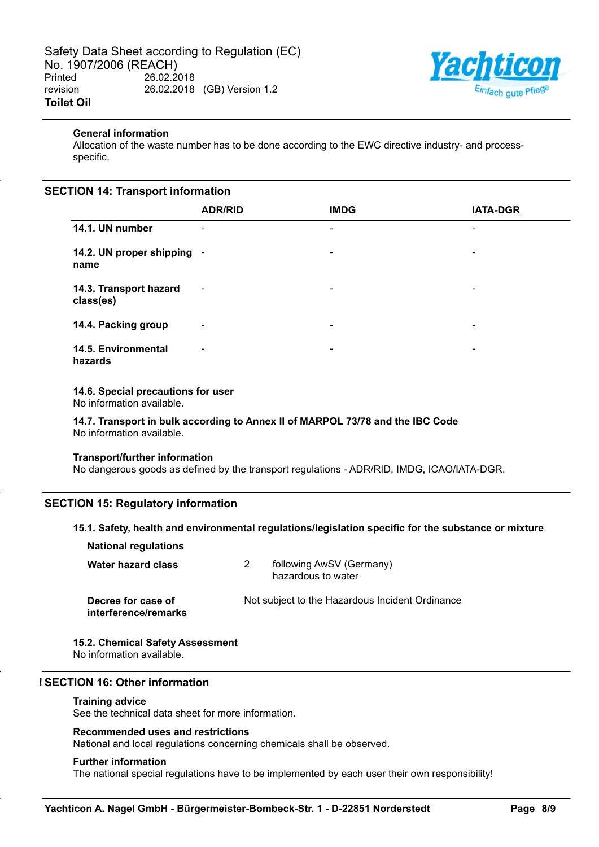

## **General information**

Allocation of the waste number has to be done according to the EWC directive industry- and processspecific.

## **SECTION 14: Transport information**

|                                     | <b>ADR/RID</b>           | <b>IMDG</b>              | <b>IATA-DGR</b>          |
|-------------------------------------|--------------------------|--------------------------|--------------------------|
| 14.1. UN number                     | -                        | ۰                        | ۰                        |
| 14.2. UN proper shipping -<br>name  |                          | ۰                        | ۰                        |
| 14.3. Transport hazard<br>class(es) | $\blacksquare$           | $\overline{\phantom{a}}$ | $\overline{\phantom{a}}$ |
| 14.4. Packing group                 | $\blacksquare$           | $\blacksquare$           | ۰                        |
| 14.5. Environmental<br>hazards      | $\overline{\phantom{a}}$ | ۰                        | ۰                        |

## **14.6. Special precautions for user**

No information available.

**14.7. Transport in bulk according to Annex II of MARPOL 73/78 and the IBC Code** No information available.

#### **Transport/further information**

No dangerous goods as defined by the transport regulations - ADR/RID, IMDG, ICAO/IATA-DGR.

## **SECTION 15: Regulatory information**

## **15.1. Safety, health and environmental regulations/legislation specific for the substance or mixture**

| <b>National regulations</b>                |                                                 |
|--------------------------------------------|-------------------------------------------------|
| Water hazard class                         | following AwSV (Germany)<br>hazardous to water  |
| Decree for case of<br>interference/remarks | Not subject to the Hazardous Incident Ordinance |

#### **15.2. Chemical Safety Assessment**

No information available.

## **! SECTION 16: Other information**

#### **Training advice**

See the technical data sheet for more information.

## **Recommended uses and restrictions**

National and local regulations concerning chemicals shall be observed.

#### **Further information**

The national special regulations have to be implemented by each user their own responsibility!